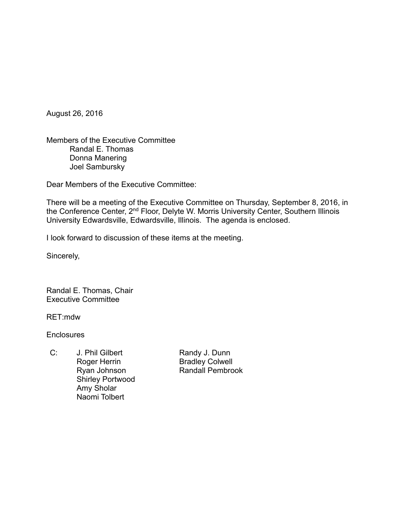August 26, 2016

Members of the Executive Committee Randal E. Thomas Donna Manering Joel Sambursky

Dear Members of the Executive Committee:

There will be a meeting of the Executive Committee on Thursday, September 8, 2016, in the Conference Center, 2<sup>nd</sup> Floor, Delyte W. Morris University Center, Southern Illinois University Edwardsville, Edwardsville, Illinois. The agenda is enclosed.

I look forward to discussion of these items at the meeting.

Sincerely,

Randal E. Thomas, Chair Executive Committee

RET:mdw

**Enclosures** 

C: J. Phil Gilbert Randy J. Dunn Roger Herrin Bradley Colwell Shirley Portwood Amy Sholar Naomi Tolbert

Ryan Johnson Randall Pembrook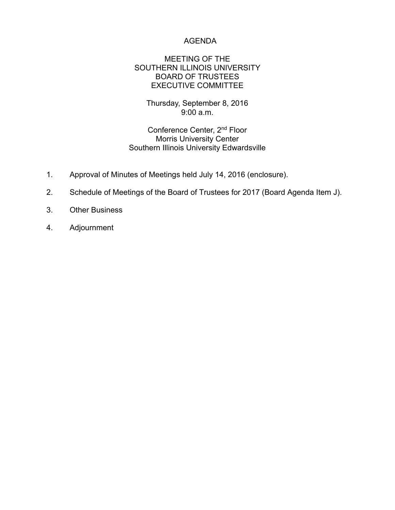#### AGENDA

#### MEETING OF THE SOUTHERN ILLINOIS UNIVERSITY BOARD OF TRUSTEES EXECUTIVE COMMITTEE

Thursday, September 8, 2016 9:00 a.m.

Conference Center, 2nd Floor Morris University Center Southern Illinois University Edwardsville

- 1. Approval of Minutes of Meetings held July 14, 2016 (enclosure).
- 2. Schedule of Meetings of the Board of Trustees for 2017 (Board Agenda Item J).
- 3. Other Business
- 4. Adjournment